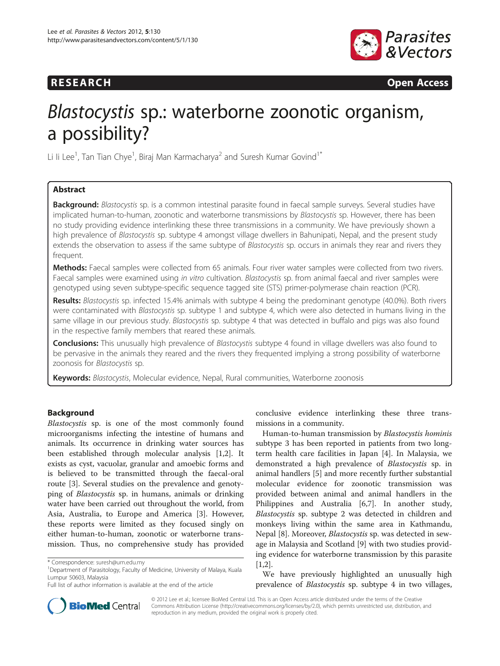# **RESEARCH RESEARCH CONSUMING ACCESS**



# Blastocystis sp.: waterborne zoonotic organism, a possibility?

Li Ii Lee $^1$ , Tan Tian Chye $^1$ , Biraj Man Karmacharya $^2$  and Suresh Kumar Govind $1^\ast$ 

# Abstract

Background: Blastocystis sp. is a common intestinal parasite found in faecal sample surveys. Several studies have implicated human-to-human, zoonotic and waterborne transmissions by Blastocystis sp. However, there has been no study providing evidence interlinking these three transmissions in a community. We have previously shown a high prevalence of Blastocystis sp. subtype 4 amongst village dwellers in Bahunipati, Nepal, and the present study extends the observation to assess if the same subtype of Blastocystis sp. occurs in animals they rear and rivers they frequent.

Methods: Faecal samples were collected from 65 animals. Four river water samples were collected from two rivers. Faecal samples were examined using in vitro cultivation. Blastocystis sp. from animal faecal and river samples were genotyped using seven subtype-specific sequence tagged site (STS) primer-polymerase chain reaction (PCR).

Results: Blastocystis sp. infected 15.4% animals with subtype 4 being the predominant genotype (40.0%). Both rivers were contaminated with *Blastocystis* sp. subtype 1 and subtype 4, which were also detected in humans living in the same village in our previous study. Blastocystis sp. subtype 4 that was detected in buffalo and pigs was also found in the respective family members that reared these animals.

Conclusions: This unusually high prevalence of Blastocystis subtype 4 found in village dwellers was also found to be pervasive in the animals they reared and the rivers they frequented implying a strong possibility of waterborne zoonosis for Blastocystis sp.

Keywords: Blastocystis, Molecular evidence, Nepal, Rural communities, Waterborne zoonosis

# Background

Blastocystis sp. is one of the most commonly found microorganisms infecting the intestine of humans and animals. Its occurrence in drinking water sources has been established through molecular analysis [\[1,2](#page-3-0)]. It exists as cyst, vacuolar, granular and amoebic forms and is believed to be transmitted through the faecal-oral route [\[3](#page-3-0)]. Several studies on the prevalence and genotyping of Blastocystis sp. in humans, animals or drinking water have been carried out throughout the world, from Asia, Australia, to Europe and America [\[3](#page-3-0)]. However, these reports were limited as they focused singly on either human-to-human, zoonotic or waterborne transmission. Thus, no comprehensive study has provided

conclusive evidence interlinking these three transmissions in a community.

Human-to-human transmission by Blastocystis hominis subtype 3 has been reported in patients from two longterm health care facilities in Japan [[4\]](#page-3-0). In Malaysia, we demonstrated a high prevalence of Blastocystis sp. in animal handlers [[5\]](#page-3-0) and more recently further substantial molecular evidence for zoonotic transmission was provided between animal and animal handlers in the Philippines and Australia [[6,7\]](#page-3-0). In another study, Blastocystis sp. subtype 2 was detected in children and monkeys living within the same area in Kathmandu, Nepal [[8](#page-3-0)]. Moreover, *Blastocystis* sp. was detected in sewage in Malaysia and Scotland [[9\]](#page-3-0) with two studies providing evidence for waterborne transmission by this parasite [[1,2\]](#page-3-0).

We have previously highlighted an unusually high prevalence of Blastocystis sp. subtype 4 in two villages,



© 2012 Lee et al.; licensee BioMed Central Ltd. This is an Open Access article distributed under the terms of the Creative Commons Attribution License [\(http://creativecommons.org/licenses/by/2.0\)](http://creativecommons.org/licenses/by/2.0), which permits unrestricted use, distribution, and reproduction in any medium, provided the original work is properly cited.

<sup>\*</sup> Correspondence: [suresh@um.edu.my](mailto:suresh@um.edu.my) <sup>1</sup>

<sup>&</sup>lt;sup>1</sup>Department of Parasitology, Faculty of Medicine, University of Malaya, Kuala Lumpur 50603, Malaysia

Full list of author information is available at the end of the article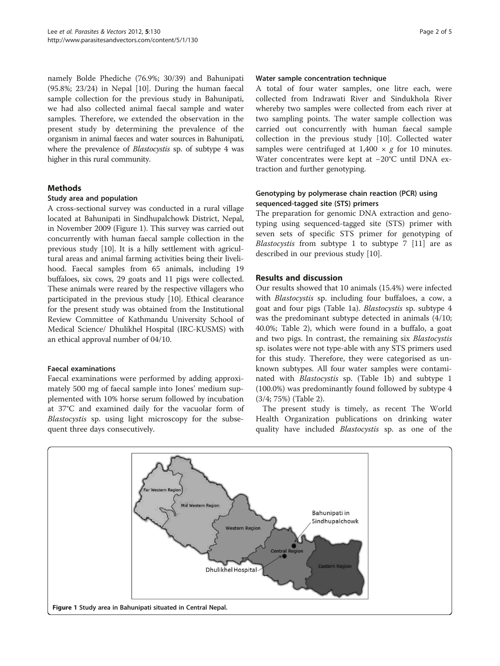namely Bolde Phediche (76.9%; 30/39) and Bahunipati (95.8%; 23/24) in Nepal [[10](#page-3-0)]. During the human faecal sample collection for the previous study in Bahunipati, we had also collected animal faecal sample and water samples. Therefore, we extended the observation in the present study by determining the prevalence of the organism in animal faeces and water sources in Bahunipati, where the prevalence of Blastocystis sp. of subtype 4 was higher in this rural community.

# Methods

#### Study area and population

A cross-sectional survey was conducted in a rural village located at Bahunipati in Sindhupalchowk District, Nepal, in November 2009 (Figure 1). This survey was carried out concurrently with human faecal sample collection in the previous study [\[10](#page-3-0)]. It is a hilly settlement with agricultural areas and animal farming activities being their livelihood. Faecal samples from 65 animals, including 19 buffaloes, six cows, 29 goats and 11 pigs were collected. These animals were reared by the respective villagers who participated in the previous study [\[10\]](#page-3-0). Ethical clearance for the present study was obtained from the Institutional Review Committee of Kathmandu University School of Medical Science/ Dhulikhel Hospital (IRC-KUSMS) with an ethical approval number of 04/10.

# Faecal examinations

Faecal examinations were performed by adding approximately 500 mg of faecal sample into Jones' medium supplemented with 10% horse serum followed by incubation at 37°C and examined daily for the vacuolar form of Blastocystis sp. using light microscopy for the subsequent three days consecutively.

#### Water sample concentration technique

A total of four water samples, one litre each, were collected from Indrawati River and Sindukhola River whereby two samples were collected from each river at two sampling points. The water sample collection was carried out concurrently with human faecal sample collection in the previous study [[10\]](#page-3-0). Collected water samples were centrifuged at  $1,400 \times g$  for 10 minutes. Water concentrates were kept at −20°C until DNA extraction and further genotyping.

# Genotyping by polymerase chain reaction (PCR) using sequenced-tagged site (STS) primers

The preparation for genomic DNA extraction and genotyping using sequenced-tagged site (STS) primer with seven sets of specific STS primer for genotyping of Blastocystis from subtype 1 to subtype 7 [[11\]](#page-3-0) are as described in our previous study [[10\]](#page-3-0).

# Results and discussion

Our results showed that 10 animals (15.4%) were infected with Blastocystis sp. including four buffaloes, a cow, a goat and four pigs (Table [1a](#page-2-0)). Blastocystis sp. subtype 4 was the predominant subtype detected in animals (4/10; 40.0%; Table [2](#page-2-0)), which were found in a buffalo, a goat and two pigs. In contrast, the remaining six Blastocystis sp. isolates were not type-able with any STS primers used for this study. Therefore, they were categorised as unknown subtypes. All four water samples were contaminated with Blastocystis sp. (Table [1b\)](#page-2-0) and subtype 1 (100.0%) was predominantly found followed by subtype 4 (3/4; 75%) (Table [2](#page-2-0)).

The present study is timely, as recent The World Health Organization publications on drinking water quality have included Blastocystis sp. as one of the

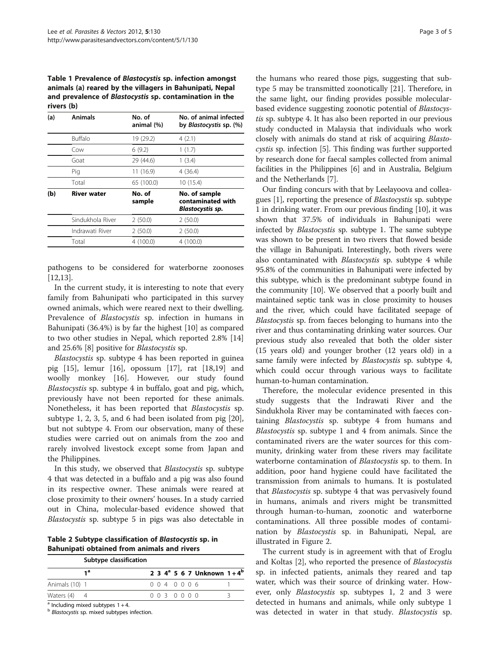<span id="page-2-0"></span>Table 1 Prevalence of Blastocystis sp. infection amongst animals (a) reared by the villagers in Bahunipati, Nepal and prevalence of Blastocystis sp. contamination in the rivers (b)

| (a) | <b>Animals</b>     | No. of<br>animal (%) | No. of animal infected<br>by <i>Blastocystis</i> sp. (%)      |  |  |  |
|-----|--------------------|----------------------|---------------------------------------------------------------|--|--|--|
|     | <b>Buffalo</b>     | 19 (29.2)            | 4(2.1)                                                        |  |  |  |
|     | Cow                | 6(9.2)               | 1(1.7)                                                        |  |  |  |
|     | Goat               | 29 (44.6)            | 1(3.4)                                                        |  |  |  |
|     | Pig                | 11(16.9)             | 4 (36.4)                                                      |  |  |  |
|     | Total              | 65 (100.0)           | 10 (15.4)                                                     |  |  |  |
| (b) | <b>River water</b> | No. of<br>sample     | No. of sample<br>contaminated with<br><b>Blastocystis sp.</b> |  |  |  |
|     | Sindukhola River   | 2(50.0)              | 2(50.0)                                                       |  |  |  |
|     | Indrawati River    | 2(50.0)              | 2(50.0)                                                       |  |  |  |
|     | Total              | 4 (100.0)            | 4 (100.0)                                                     |  |  |  |
|     |                    |                      |                                                               |  |  |  |

pathogens to be considered for waterborne zoonoses [[12,13\]](#page-3-0).

In the current study, it is interesting to note that every family from Bahunipati who participated in this survey owned animals, which were reared next to their dwelling. Prevalence of Blastocystis sp. infection in humans in Bahunipati (36.4%) is by far the highest [[10\]](#page-3-0) as compared to two other studies in Nepal, which reported 2.8% [[14](#page-4-0)] and 25.6% [[8\]](#page-3-0) positive for Blastocystis sp.

Blastocystis sp. subtype 4 has been reported in guinea pig [[15\]](#page-4-0), lemur [\[16\]](#page-4-0), opossum [[17\]](#page-4-0), rat [\[18,19\]](#page-4-0) and woolly monkey [\[16](#page-4-0)]. However, our study found Blastocystis sp. subtype 4 in buffalo, goat and pig, which, previously have not been reported for these animals. Nonetheless, it has been reported that Blastocystis sp. subtype 1, 2, 3, 5, and 6 had been isolated from pig [\[20](#page-4-0)], but not subtype 4. From our observation, many of these studies were carried out on animals from the zoo and rarely involved livestock except some from Japan and the Philippines.

In this study, we observed that Blastocystis sp. subtype 4 that was detected in a buffalo and a pig was also found in its respective owner. These animals were reared at close proximity to their owners' houses. In a study carried out in China, molecular-based evidence showed that Blastocystis sp. subtype 5 in pigs was also detectable in

Table 2 Subtype classification of Blastocystis sp. in Bahunipati obtained from animals and rivers

|                | Subtype classification |  |         |  |  |  |                                          |  |  |
|----------------|------------------------|--|---------|--|--|--|------------------------------------------|--|--|
| 1ª             |                        |  |         |  |  |  | 2 3 4 <sup>a</sup> 5 6 7 Unknown $1+4^b$ |  |  |
| Animals (10) 1 |                        |  | 0040006 |  |  |  |                                          |  |  |
| Waters $(4)$ 4 |                        |  | 0030000 |  |  |  |                                          |  |  |
| .              |                        |  |         |  |  |  |                                          |  |  |

 $a$  Including mixed subtypes  $1 + 4$ .

**b** Blastocystis sp. mixed subtypes infection.

the humans who reared those pigs, suggesting that subtype 5 may be transmitted zoonotically [\[21\]](#page-4-0). Therefore, in the same light, our finding provides possible molecularbased evidence suggesting zoonotic potential of Blastocystis sp. subtype 4. It has also been reported in our previous study conducted in Malaysia that individuals who work closely with animals do stand at risk of acquiring Blastocystis sp. infection [\[5\]](#page-3-0). This finding was further supported by research done for faecal samples collected from animal facilities in the Philippines [[6\]](#page-3-0) and in Australia, Belgium and the Netherlands [[7\]](#page-3-0).

Our finding concurs with that by Leelayoova and colleagues [[1](#page-3-0)], reporting the presence of Blastocystis sp. subtype 1 in drinking water. From our previous finding [[10](#page-3-0)], it was shown that 37.5% of individuals in Bahunipati were infected by Blastocystis sp. subtype 1. The same subtype was shown to be present in two rivers that flowed beside the village in Bahunipati. Interestingly, both rivers were also contaminated with Blastocystis sp. subtype 4 while 95.8% of the communities in Bahunipati were infected by this subtype, which is the predominant subtype found in the community [[10](#page-3-0)]. We observed that a poorly built and maintained septic tank was in close proximity to houses and the river, which could have facilitated seepage of Blastocystis sp. from faeces belonging to humans into the river and thus contaminating drinking water sources. Our previous study also revealed that both the older sister (15 years old) and younger brother (12 years old) in a same family were infected by Blastocystis sp. subtype 4, which could occur through various ways to facilitate human-to-human contamination.

Therefore, the molecular evidence presented in this study suggests that the Indrawati River and the Sindukhola River may be contaminated with faeces containing Blastocystis sp. subtype 4 from humans and Blastocystis sp. subtype 1 and 4 from animals. Since the contaminated rivers are the water sources for this community, drinking water from these rivers may facilitate waterborne contamination of Blastocystis sp. to them. In addition, poor hand hygiene could have facilitated the transmission from animals to humans. It is postulated that Blastocystis sp. subtype 4 that was pervasively found in humans, animals and rivers might be transmitted through human-to-human, zoonotic and waterborne contaminations. All three possible modes of contamination by *Blastocystis* sp. in Bahunipati, Nepal, are illustrated in Figure [2](#page-3-0).

The current study is in agreement with that of Eroglu and Koltas [[2\]](#page-3-0), who reported the presence of Blastocystis sp. in infected patients, animals they reared and tap water, which was their source of drinking water. However, only Blastocystis sp. subtypes 1, 2 and 3 were detected in humans and animals, while only subtype 1 was detected in water in that study. Blastocystis sp.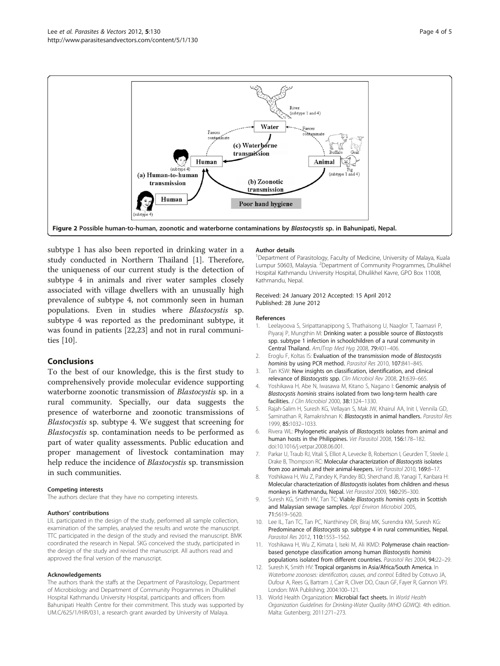<span id="page-3-0"></span>

subtype 1 has also been reported in drinking water in a study conducted in Northern Thailand [1]. Therefore, the uniqueness of our current study is the detection of subtype 4 in animals and river water samples closely associated with village dwellers with an unusually high prevalence of subtype 4, not commonly seen in human populations. Even in studies where Blastocystis sp. subtype 4 was reported as the predominant subtype, it was found in patients [\[22,23](#page-4-0)] and not in rural communities [10].

# Conclusions

To the best of our knowledge, this is the first study to comprehensively provide molecular evidence supporting waterborne zoonotic transmission of Blastocystis sp. in a rural community. Specially, our data suggests the presence of waterborne and zoonotic transmissions of Blastocystis sp. subtype 4. We suggest that screening for Blastocystis sp. contamination needs to be performed as part of water quality assessments. Public education and proper management of livestock contamination may help reduce the incidence of Blastocystis sp. transmission in such communities.

#### Competing interests

The authors declare that they have no competing interests.

#### Authors' contributions

LIL participated in the design of the study, performed all sample collection, examination of the samples, analysed the results and wrote the manuscript. TTC participated in the design of the study and revised the manuscript. BMK coordinated the research in Nepal. SKG conceived the study, participated in the design of the study and revised the manuscript. All authors read and approved the final version of the manuscript.

#### Acknowledgements

The authors thank the staffs at the Department of Parasitology, Department of Microbiology and Department of Community Programmes in Dhulikhel Hospital Kathmandu University Hospital, participants and officers from Bahunipati Health Centre for their commitment. This study was supported by UM.C/625/1/HIR/031, a research grant awarded by University of Malaya.

#### Author details

<sup>1</sup>Department of Parasitology, Faculty of Medicine, University of Malaya, Kuala Lumpur 50603, Malaysia. <sup>2</sup> Department of Community Programmes, Dhulikhel Hospital Kathmandu University Hospital, Dhulikhel Kavre, GPO Box 11008, Kathmandu, Nepal.

#### Received: 24 January 2012 Accepted: 15 April 2012 Published: 28 June 2012

#### References

- 1. Leelayoova S, Siripattanapipong S, Thathaisong U, Naaglor T, Taamasri P, Piyaraj P, Mungthin M: Drinking water: a possible source of Blastocystis spp. subtype 1 infection in schoolchildren of a rural community in Central Thailand. AmJTrop Med Hyg 2008, 79:401–406.
- 2. Eroglu F, Koltas IS: Evaluation of the transmission mode of Blastocystis hominis by using PCR method. Parasitol Res 2010, 107:841-845.
- 3. Tan KSW: New insights on classification, identification, and clinical relevance of Blastocystis spp. Clin Microbiol Rev 2008, 21:639-665.
- 4. Yoshikawa H, Abe N, Iwasawa M, Kitano S, Nagano I: Genomic analysis of Blastocystis hominis strains isolated from two long-term health care facilities. J Clin Microbiol 2000, 38:1324–1330.
- 5. Rajah-Salim H, Suresh KG, Vellayan S, Mak JW, Khairul AA, Init I, Vennila GD, Saminathan R, Ramakrishnan K: Blastocystis in animal handlers. Parasitol Res 1999, 85:1032–1033.
- 6. Rivera WL: Phylogenetic analysis of Blastocystis isolates from animal and human hosts in the Philippines. Vet Parasitol 2008, 156:178–182. doi[:10.1016/j.vetpar.2008.06.001.](http://dx.doi.org/10.1016/j.vetpar.2008.06.001)
- 7. Parkar U, Traub RJ, Vitali S, Elliot A, Levecke B, Robertson I, Geurden T, Steele J, Drake B, Thompson RC: Molecular characterization of Blastocystis isolates from zoo animals and their animal-keepers. Vet Parasitol 2010, 169:8–17.
- 8. Yoshikawa H, Wu Z, Pandey K, Pandey BD, Sherchand JB, Yanagi T, Kanbara H: Molecular characterization of Blastocystis isolates from children and rhesus monkeys in Kathmandu, Nepal. Vet Parasitol 2009, 160:295–300.
- Suresh KG, Smith HV, Tan TC: Viable Blastocystis hominis cysts in Scottish and Malaysian sewage samples. Appl Environ Microbiol 2005, 71:5619–5620.
- 10. Lee IL, Tan TC, Tan PC, Nanthiney DR, Biraj MK, Surendra KM, Suresh KG: Predominance of Blastocystis sp. subtype 4 in rural communities, Nepal. Parasitol Res 2012, 110:1553–1562.
- 11. Yoshikawa H, Wu Z, Kimata I, Iseki M, Ali IKMD: Polymerase chain reactionbased genotype classification among human Blastocystis hominis populations isolated from different countries. Parasitol Res 2004, 94:22–29.
- 12. Suresh K, Smith HV: Tropical organisms in Asia/Africa/South America. In Waterborne zoonoses: identification, causes, and control. Edited by Cotruvo JA, Dufour A, Rees G, Bartram J, Carr R, Cliver DO, Craun GF, Fayer R, Gannon VPJ. London: IWA Publishing; 2004:100–121.
- 13. World Health Organization: Microbial fact sheets. In World Health Organization Guidelines for Drinking-Water Quality (WHO GDWQ). 4th edition. Malta: Gutenberg; 2011:271–273.